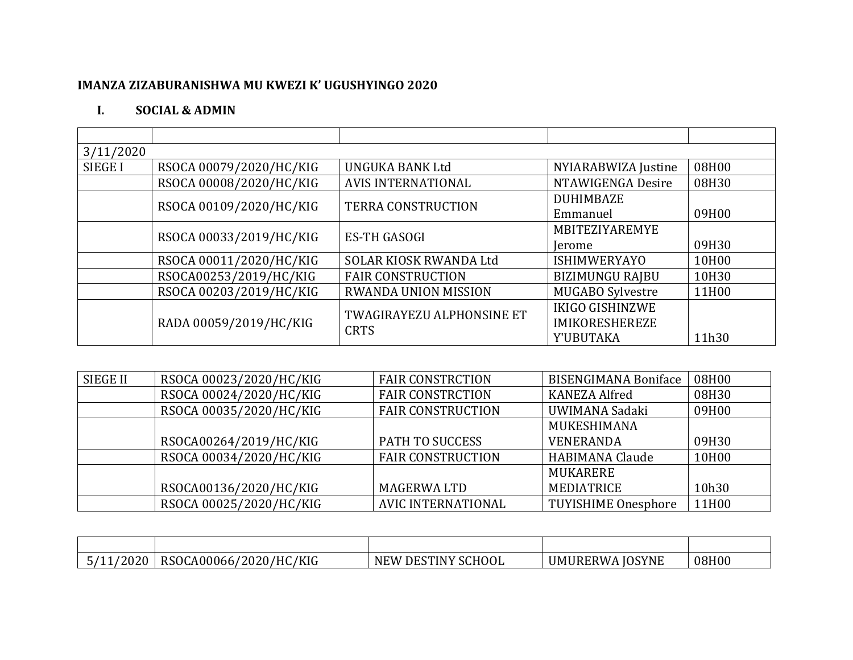## IMANZA ZIZABURANISHWA MU KWEZI K' UGUSHYINGO 2020

## $\mathbf{I}$ . **SOCIAL & ADMIN**

| 3/11/2020      |                         |                                  |                         |       |
|----------------|-------------------------|----------------------------------|-------------------------|-------|
| <b>SIEGE I</b> | RSOCA 00079/2020/HC/KIG | <b>UNGUKA BANK Ltd</b>           | NYIARABWIZA Justine     | 08H00 |
|                | RSOCA 00008/2020/HC/KIG | <b>AVIS INTERNATIONAL</b>        | NTAWIGENGA Desire       | 08H30 |
|                | RSOCA 00109/2020/HC/KIG | <b>TERRA CONSTRUCTION</b>        | <b>DUHIMBAZE</b>        |       |
|                |                         |                                  | Emmanuel                | 09H00 |
|                | RSOCA 00033/2019/HC/KIG | <b>ES-TH GASOGI</b>              | MBITEZIYAREMYE          |       |
|                |                         |                                  | <i>lerome</i>           | 09H30 |
|                | RSOCA 00011/2020/HC/KIG | SOLAR KIOSK RWANDA Ltd           | <b>ISHIMWERYAYO</b>     | 10H00 |
|                | RSOCA00253/2019/HC/KIG  | <b>FAIR CONSTRUCTION</b>         | <b>BIZIMUNGU RAJBU</b>  | 10H30 |
|                | RSOCA 00203/2019/HC/KIG | <b>RWANDA UNION MISSION</b>      | <b>MUGABO Sylvestre</b> | 11H00 |
|                |                         | <b>TWAGIRAYEZU ALPHONSINE ET</b> | <b>IKIGO GISHINZWE</b>  |       |
|                | RADA 00059/2019/HC/KIG  | <b>CRTS</b>                      | <b>IMIKORESHEREZE</b>   |       |
|                |                         |                                  | Y'UBUTAKA               | 11h30 |

| <b>SIEGE II</b> | RSOCA 00023/2020/HC/KIG | <b>FAIR CONSTRCTION</b>   | <b>BISENGIMANA Boniface</b> | 08H00 |
|-----------------|-------------------------|---------------------------|-----------------------------|-------|
|                 | RSOCA 00024/2020/HC/KIG | <b>FAIR CONSTRCTION</b>   | <b>KANEZA Alfred</b>        | 08H30 |
|                 | RSOCA 00035/2020/HC/KIG | <b>FAIR CONSTRUCTION</b>  | UWIMANA Sadaki              | 09H00 |
|                 |                         |                           | MUKESHIMANA                 |       |
|                 | RSOCA00264/2019/HC/KIG  | <b>PATH TO SUCCESS</b>    | <b>VENERANDA</b>            | 09H30 |
|                 | RSOCA 00034/2020/HC/KIG | <b>FAIR CONSTRUCTION</b>  | <b>HABIMANA Claude</b>      | 10H00 |
|                 |                         |                           | MUKARERE                    |       |
|                 | RSOCA00136/2020/HC/KIG  | <b>MAGERWALTD</b>         | MEDIATRICE                  | 10h30 |
|                 | RSOCA 00025/2020/HC/KIG | <b>AVIC INTERNATIONAL</b> | <b>TUYISHIME Onesphore</b>  | 11H00 |

| '2020<br>ັບ<br><u>. . </u> | /KIG<br>'HC<br>RSO <sub>C</sub><br>$\sim$ A000667<br>2020/ | SCHOOL<br><b>DESTINY</b><br>N <sub>E</sub> W | <b>JOSYNE</b><br><b>UMURERWA</b> | 08H00 |
|----------------------------|------------------------------------------------------------|----------------------------------------------|----------------------------------|-------|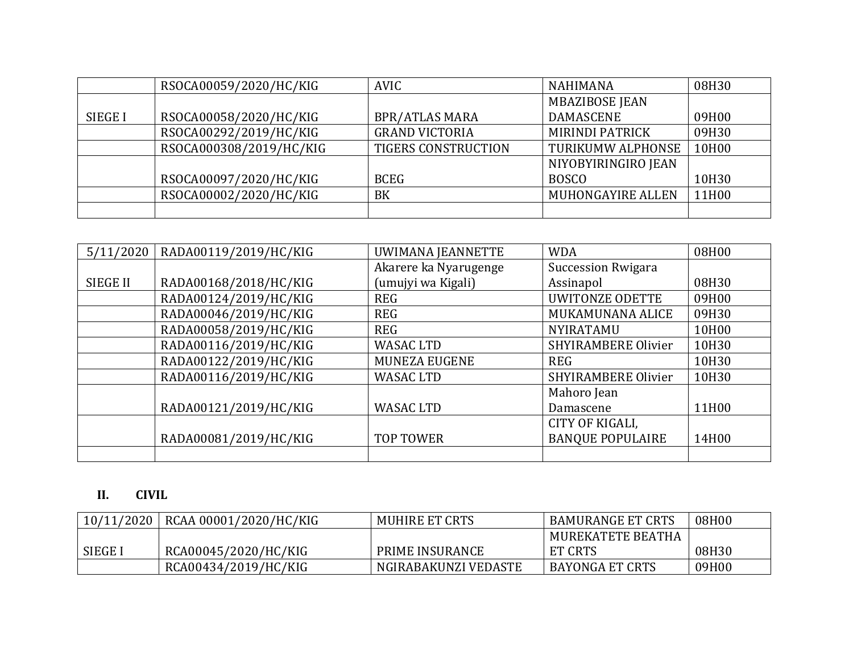|                | RSOCA00059/2020/HC/KIG  | AVIC                       | <b>NAHIMANA</b>        | 08H30 |
|----------------|-------------------------|----------------------------|------------------------|-------|
|                |                         |                            | <b>MBAZIBOSE JEAN</b>  |       |
| <b>SIEGE I</b> | RSOCA00058/2020/HC/KIG  | <b>BPR/ATLAS MARA</b>      | <b>DAMASCENE</b>       | 09H00 |
|                | RSOCA00292/2019/HC/KIG  | <b>GRAND VICTORIA</b>      | <b>MIRINDI PATRICK</b> | 09H30 |
|                | RSOCA000308/2019/HC/KIG | <b>TIGERS CONSTRUCTION</b> | TURIKUMW ALPHONSE      | 10H00 |
|                |                         |                            | NIYOBYIRINGIRO JEAN    |       |
|                | RSOCA00097/2020/HC/KIG  | <b>BCEG</b>                | <b>BOSCO</b>           | 10H30 |
|                | RSOCA00002/2020/HC/KIG  | <b>BK</b>                  | MUHONGAYIRE ALLEN      | 11H00 |
|                |                         |                            |                        |       |

| 5/11/2020       | RADA00119/2019/HC/KIG | UWIMANA JEANNETTE     | <b>WDA</b>                | 08H00 |
|-----------------|-----------------------|-----------------------|---------------------------|-------|
|                 |                       | Akarere ka Nyarugenge | <b>Succession Rwigara</b> |       |
| <b>SIEGE II</b> | RADA00168/2018/HC/KIG | (umujyi wa Kigali)    | Assinapol                 | 08H30 |
|                 | RADA00124/2019/HC/KIG | <b>REG</b>            | <b>UWITONZE ODETTE</b>    | 09H00 |
|                 | RADA00046/2019/HC/KIG | <b>REG</b>            | MUKAMUNANA ALICE          | 09H30 |
|                 | RADA00058/2019/HC/KIG | <b>REG</b>            | NYIRATAMU                 | 10H00 |
|                 | RADA00116/2019/HC/KIG | <b>WASAC LTD</b>      | SHYIRAMBERE Olivier       | 10H30 |
|                 | RADA00122/2019/HC/KIG | <b>MUNEZA EUGENE</b>  | <b>REG</b>                | 10H30 |
|                 | RADA00116/2019/HC/KIG | <b>WASAC LTD</b>      | SHYIRAMBERE Olivier       | 10H30 |
|                 |                       |                       | Mahoro Jean               |       |
|                 | RADA00121/2019/HC/KIG | <b>WASAC LTD</b>      | Damascene                 | 11H00 |
|                 |                       |                       | CITY OF KIGALI,           |       |
|                 | RADA00081/2019/HC/KIG | <b>TOP TOWER</b>      | <b>BANQUE POPULAIRE</b>   | 14H00 |
|                 |                       |                       |                           |       |

## **II. CIVIL**

| 10/11/2020     | RCAA 00001/2020/HC/KIG | <b>MUHIRE ET CRTS</b> | <b>BAMURANGE ET CRTS</b> | 08H00 |
|----------------|------------------------|-----------------------|--------------------------|-------|
|                |                        |                       | MUREKATETE BEATHA        |       |
| <b>SIEGE I</b> | RCA00045/2020/HC/KIG   | PRIME INSURANCE       | <b>ET CRTS</b>           | 08H30 |
|                | RCA00434/2019/HC/KIG   | NGIRABAKUNZI VEDASTE  | <b>BAYONGA ET CRTS</b>   | 09H00 |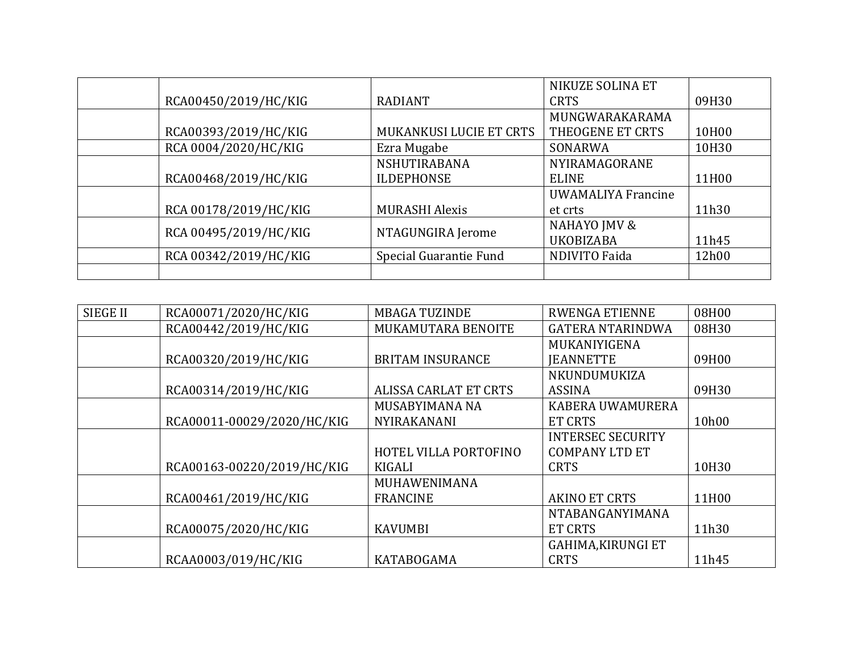|                       |                                | NIKUZE SOLINA ET          |       |
|-----------------------|--------------------------------|---------------------------|-------|
| RCA00450/2019/HC/KIG  | <b>RADIANT</b>                 | <b>CRTS</b>               | 09H30 |
|                       |                                | MUNGWARAKARAMA            |       |
| RCA00393/2019/HC/KIG  | <b>MUKANKUSI LUCIE ET CRTS</b> | THEOGENE ET CRTS          | 10H00 |
| RCA 0004/2020/HC/KIG  | Ezra Mugabe                    | SONARWA                   | 10H30 |
|                       | NSHUTIRABANA                   | NYIRAMAGORANE             |       |
| RCA00468/2019/HC/KIG  | <b>ILDEPHONSE</b>              | <b>ELINE</b>              | 11H00 |
|                       |                                | <b>UWAMALIYA Francine</b> |       |
| RCA 00178/2019/HC/KIG | <b>MURASHI Alexis</b>          | et crts                   | 11h30 |
| RCA 00495/2019/HC/KIG | NTAGUNGIRA Jerome              | NAHAYO JMV &              |       |
|                       |                                | <b>UKOBIZABA</b>          | 11h45 |
| RCA 00342/2019/HC/KIG | Special Guarantie Fund         | <b>NDIVITO Faida</b>      | 12h00 |
|                       |                                |                           |       |

| <b>SIEGE II</b> | RCA00071/2020/HC/KIG       | <b>MBAGA TUZINDE</b>         | <b>RWENGA ETIENNE</b>     | 08H00 |
|-----------------|----------------------------|------------------------------|---------------------------|-------|
|                 | RCA00442/2019/HC/KIG       | MUKAMUTARA BENOITE           | <b>GATERA NTARINDWA</b>   | 08H30 |
|                 |                            |                              | MUKANIYIGENA              |       |
|                 | RCA00320/2019/HC/KIG       | <b>BRITAM INSURANCE</b>      | <b>IEANNETTE</b>          | 09H00 |
|                 |                            |                              | NKUNDUMUKIZA              |       |
|                 | RCA00314/2019/HC/KIG       | <b>ALISSA CARLAT ET CRTS</b> | <b>ASSINA</b>             | 09H30 |
|                 |                            | MUSABYIMANA NA               | KABERA UWAMURERA          |       |
|                 | RCA00011-00029/2020/HC/KIG | <b>NYIRAKANANI</b>           | ET CRTS                   | 10h00 |
|                 |                            |                              | <b>INTERSEC SECURITY</b>  |       |
|                 |                            | HOTEL VILLA PORTOFINO        | <b>COMPANY LTD ET</b>     |       |
|                 | RCA00163-00220/2019/HC/KIG | KIGALI                       | <b>CRTS</b>               | 10H30 |
|                 |                            | MUHAWENIMANA                 |                           |       |
|                 | RCA00461/2019/HC/KIG       | <b>FRANCINE</b>              | <b>AKINO ET CRTS</b>      | 11H00 |
|                 |                            |                              | NTABANGANYIMANA           |       |
|                 | RCA00075/2020/HC/KIG       | <b>KAVUMBI</b>               | ET CRTS                   | 11h30 |
|                 |                            |                              | <b>GAHIMA, KIRUNGI ET</b> |       |
|                 | RCAA0003/019/HC/KIG        | <b>KATABOGAMA</b>            | <b>CRTS</b>               | 11h45 |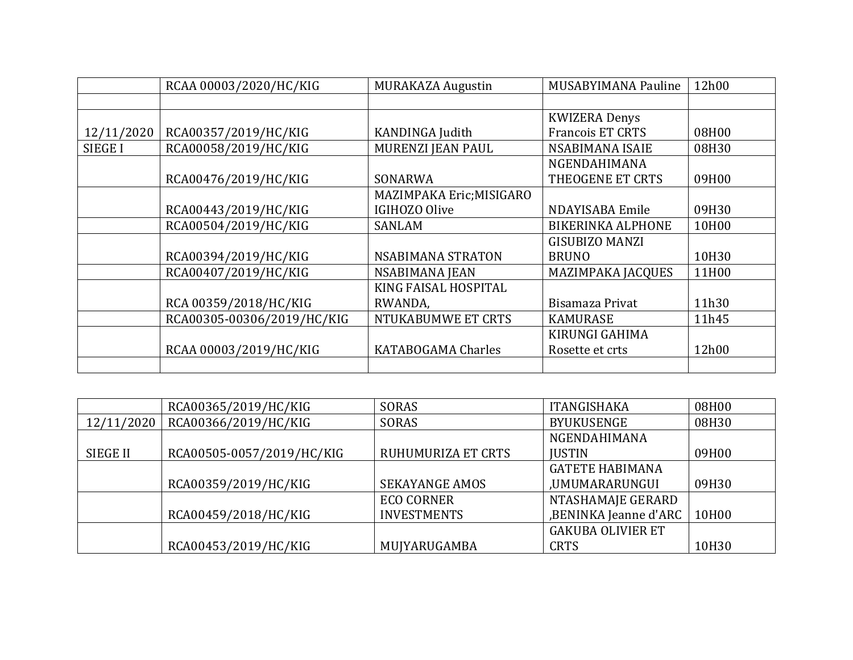|                | RCAA 00003/2020/HC/KIG     | <b>MURAKAZA Augustin</b> | MUSABYIMANA Pauline      | 12h00 |
|----------------|----------------------------|--------------------------|--------------------------|-------|
|                |                            |                          |                          |       |
|                |                            |                          | <b>KWIZERA Denys</b>     |       |
| 12/11/2020     | RCA00357/2019/HC/KIG       | KANDINGA Judith          | <b>Francois ET CRTS</b>  | 08H00 |
| <b>SIEGE I</b> | RCA00058/2019/HC/KIG       | MURENZI JEAN PAUL        | NSABIMANA ISAIE          | 08H30 |
|                |                            |                          | <b>NGENDAHIMANA</b>      |       |
|                | RCA00476/2019/HC/KIG       | SONARWA                  | THEOGENE ET CRTS         | 09H00 |
|                |                            | MAZIMPAKA Eric; MISIGARO |                          |       |
|                | RCA00443/2019/HC/KIG       | IGIHOZO Olive            | NDAYISABA Emile          | 09H30 |
|                | RCA00504/2019/HC/KIG       | SANLAM                   | <b>BIKERINKA ALPHONE</b> | 10H00 |
|                |                            |                          | <b>GISUBIZO MANZI</b>    |       |
|                | RCA00394/2019/HC/KIG       | NSABIMANA STRATON        | <b>BRUNO</b>             | 10H30 |
|                | RCA00407/2019/HC/KIG       | NSABIMANA JEAN           | <b>MAZIMPAKA JACQUES</b> | 11H00 |
|                |                            | KING FAISAL HOSPITAL     |                          |       |
|                | RCA 00359/2018/HC/KIG      | RWANDA,                  | Bisamaza Privat          | 11h30 |
|                | RCA00305-00306/2019/HC/KIG | NTUKABUMWE ET CRTS       | <b>KAMURASE</b>          | 11h45 |
|                |                            |                          | KIRUNGI GAHIMA           |       |
|                | RCAA 00003/2019/HC/KIG     | KATABOGAMA Charles       | Rosette et crts          | 12h00 |
|                |                            |                          |                          |       |

|                 | RCA00365/2019/HC/KIG      | SORAS                 | <b>ITANGISHAKA</b>       | 08H00 |
|-----------------|---------------------------|-----------------------|--------------------------|-------|
| 12/11/2020      | RCA00366/2019/HC/KIG      | SORAS                 | <b>BYUKUSENGE</b>        | 08H30 |
|                 |                           |                       | <b>NGENDAHIMANA</b>      |       |
| <b>SIEGE II</b> | RCA00505-0057/2019/HC/KIG | RUHUMURIZA ET CRTS    | <b>IUSTIN</b>            | 09H00 |
|                 |                           |                       | <b>GATETE HABIMANA</b>   |       |
|                 | RCA00359/2019/HC/KIG      | <b>SEKAYANGE AMOS</b> | ,UMUMARARUNGUI           | 09H30 |
|                 |                           | <b>ECO CORNER</b>     | NTASHAMAJE GERARD        |       |
|                 | RCA00459/2018/HC/KIG      | <b>INVESTMENTS</b>    | ,BENINKA Jeanne d'ARC    | 10H00 |
|                 |                           |                       | <b>GAKUBA OLIVIER ET</b> |       |
|                 | RCA00453/2019/HC/KIG      | MUJYARUGAMBA          | <b>CRTS</b>              | 10H30 |